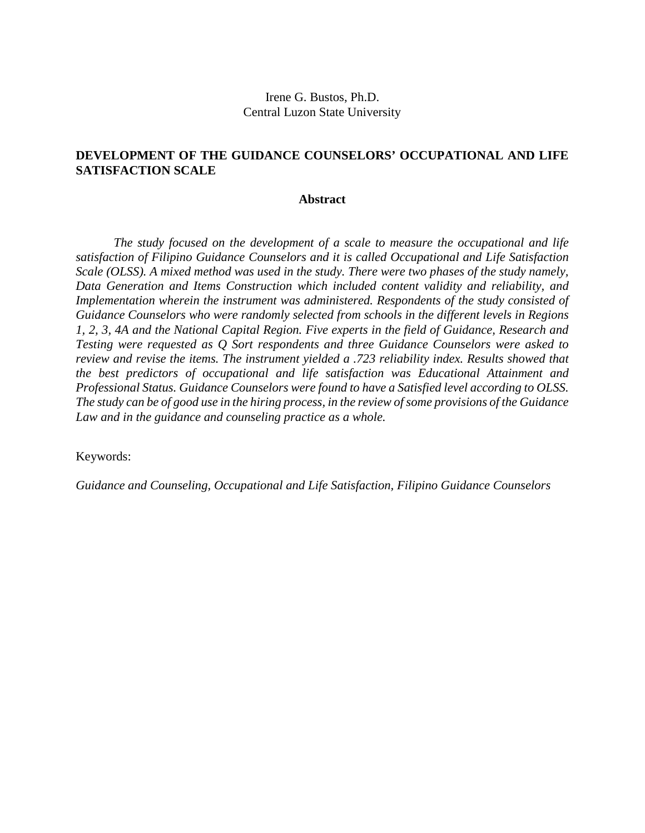# Irene G. Bustos, Ph.D. Central Luzon State University

# **DEVELOPMENT OF THE GUIDANCE COUNSELORS' OCCUPATIONAL AND LIFE SATISFACTION SCALE**

## **Abstract**

*The study focused on the development of a scale to measure the occupational and life satisfaction of Filipino Guidance Counselors and it is called Occupational and Life Satisfaction Scale (OLSS). A mixed method was used in the study. There were two phases of the study namely, Data Generation and Items Construction which included content validity and reliability, and Implementation wherein the instrument was administered. Respondents of the study consisted of Guidance Counselors who were randomly selected from schools in the different levels in Regions 1, 2, 3, 4A and the National Capital Region. Five experts in the field of Guidance, Research and Testing were requested as Q Sort respondents and three Guidance Counselors were asked to review and revise the items. The instrument yielded a .723 reliability index. Results showed that the best predictors of occupational and life satisfaction was Educational Attainment and Professional Status. Guidance Counselors were found to have a Satisfied level according to OLSS. The study can be of good use in the hiring process, in the review of some provisions of the Guidance Law and in the guidance and counseling practice as a whole.*

Keywords:

*Guidance and Counseling, Occupational and Life Satisfaction, Filipino Guidance Counselors*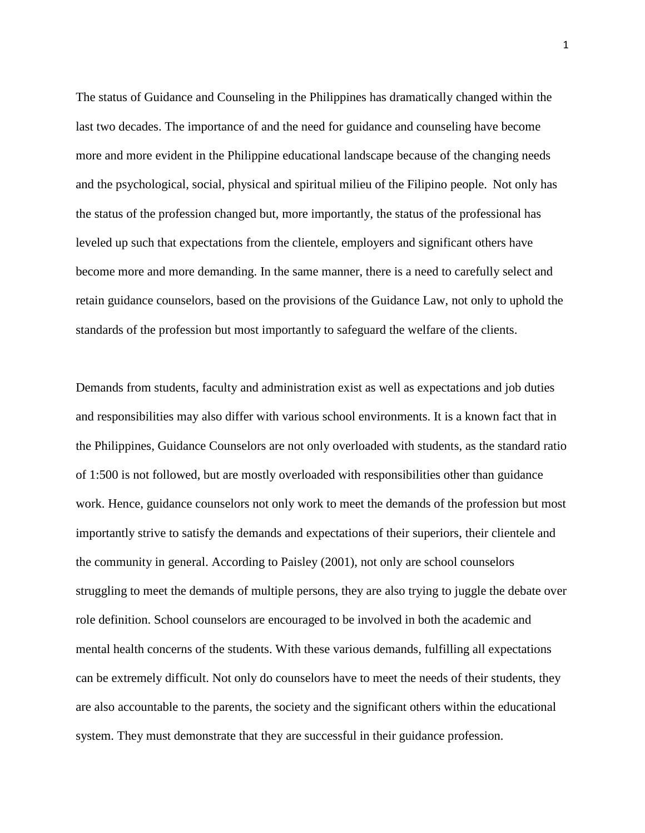The status of Guidance and Counseling in the Philippines has dramatically changed within the last two decades. The importance of and the need for guidance and counseling have become more and more evident in the Philippine educational landscape because of the changing needs and the psychological, social, physical and spiritual milieu of the Filipino people. Not only has the status of the profession changed but, more importantly, the status of the professional has leveled up such that expectations from the clientele, employers and significant others have become more and more demanding. In the same manner, there is a need to carefully select and retain guidance counselors, based on the provisions of the Guidance Law, not only to uphold the standards of the profession but most importantly to safeguard the welfare of the clients.

Demands from students, faculty and administration exist as well as expectations and job duties and responsibilities may also differ with various school environments. It is a known fact that in the Philippines, Guidance Counselors are not only overloaded with students, as the standard ratio of 1:500 is not followed, but are mostly overloaded with responsibilities other than guidance work. Hence, guidance counselors not only work to meet the demands of the profession but most importantly strive to satisfy the demands and expectations of their superiors, their clientele and the community in general. According to Paisley (2001), not only are school counselors struggling to meet the demands of multiple persons, they are also trying to juggle the debate over role definition. School counselors are encouraged to be involved in both the academic and mental health concerns of the students. With these various demands, fulfilling all expectations can be extremely difficult. Not only do counselors have to meet the needs of their students, they are also accountable to the parents, the society and the significant others within the educational system. They must demonstrate that they are successful in their guidance profession.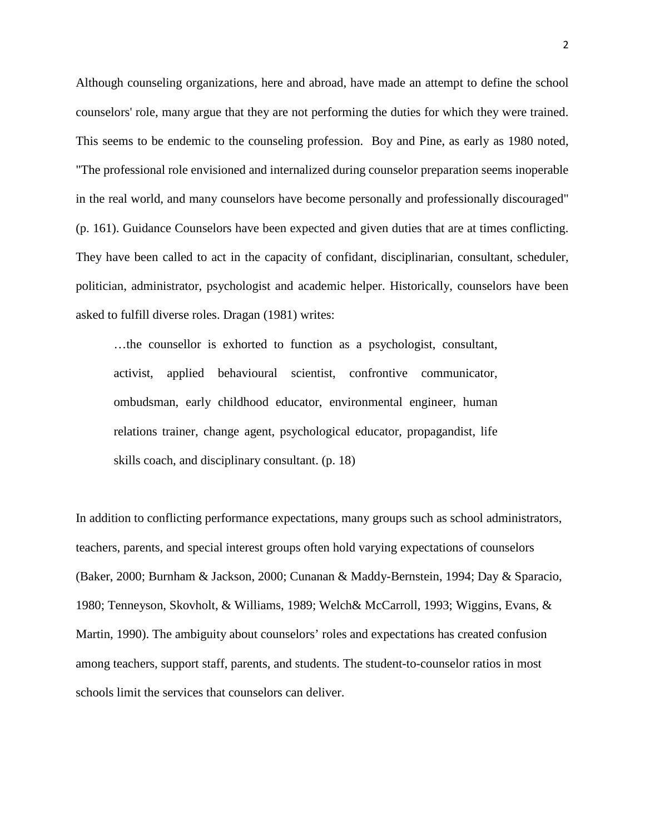Although counseling organizations, here and abroad, have made an attempt to define the school counselors' role, many argue that they are not performing the duties for which they were trained. This seems to be endemic to the counseling profession. Boy and Pine, as early as 1980 noted, "The professional role envisioned and internalized during counselor preparation seems inoperable in the real world, and many counselors have become personally and professionally discouraged" (p. 161). Guidance Counselors have been expected and given duties that are at times conflicting. They have been called to act in the capacity of confidant, disciplinarian, consultant, scheduler, politician, administrator, psychologist and academic helper. Historically, counselors have been asked to fulfill diverse roles. Dragan (1981) writes:

…the counsellor is exhorted to function as a psychologist, consultant, activist, applied behavioural scientist, confrontive communicator, ombudsman, early childhood educator, environmental engineer, human relations trainer, change agent, psychological educator, propagandist, life skills coach, and disciplinary consultant. (p. 18)

In addition to conflicting performance expectations, many groups such as school administrators, teachers, parents, and special interest groups often hold varying expectations of counselors (Baker, 2000; Burnham & Jackson, 2000; Cunanan & Maddy-Bernstein, 1994; Day & Sparacio, 1980; Tenneyson, Skovholt, & Williams, 1989; Welch& McCarroll, 1993; Wiggins, Evans, & Martin, 1990). The ambiguity about counselors' roles and expectations has created confusion among teachers, support staff, parents, and students. The student-to-counselor ratios in most schools limit the services that counselors can deliver.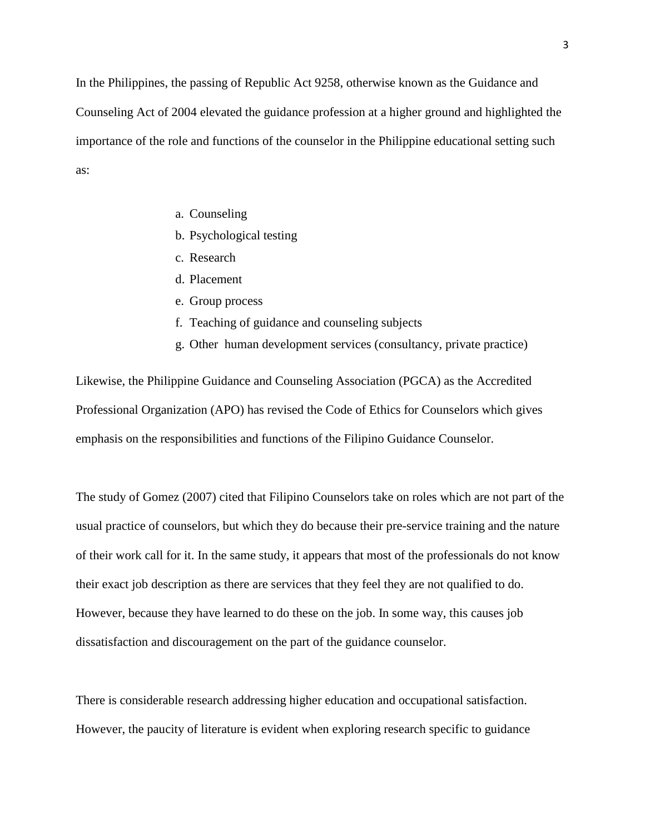In the Philippines, the passing of Republic Act 9258, otherwise known as the Guidance and Counseling Act of 2004 elevated the guidance profession at a higher ground and highlighted the importance of the role and functions of the counselor in the Philippine educational setting such as:

- a. Counseling
- b. Psychological testing
- c. Research
- d. Placement
- e. Group process
- f. Teaching of guidance and counseling subjects
- g. Other human development services (consultancy, private practice)

Likewise, the Philippine Guidance and Counseling Association (PGCA) as the Accredited Professional Organization (APO) has revised the Code of Ethics for Counselors which gives emphasis on the responsibilities and functions of the Filipino Guidance Counselor.

The study of Gomez (2007) cited that Filipino Counselors take on roles which are not part of the usual practice of counselors, but which they do because their pre-service training and the nature of their work call for it. In the same study, it appears that most of the professionals do not know their exact job description as there are services that they feel they are not qualified to do. However, because they have learned to do these on the job. In some way, this causes job dissatisfaction and discouragement on the part of the guidance counselor.

There is considerable research addressing higher education and occupational satisfaction. However, the paucity of literature is evident when exploring research specific to guidance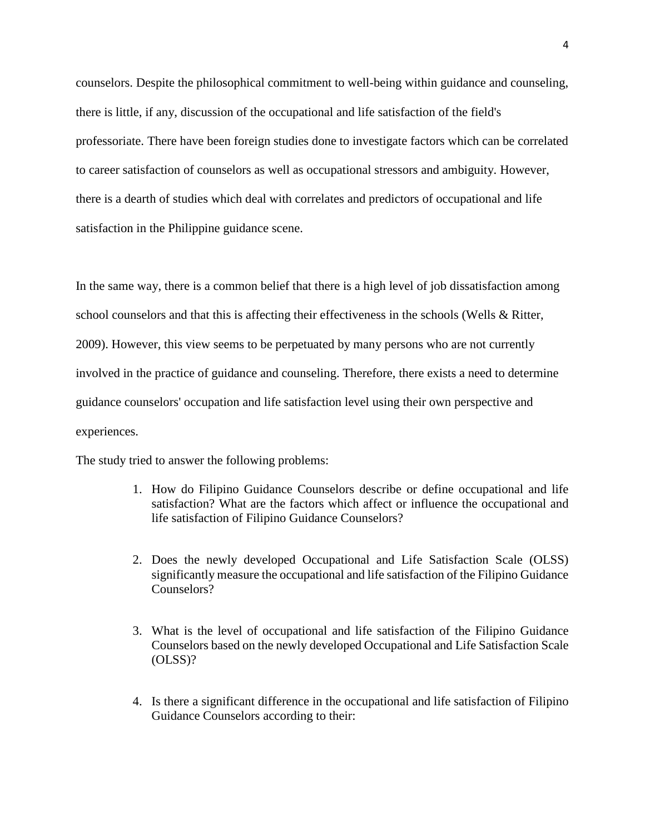counselors. Despite the philosophical commitment to well-being within guidance and counseling, there is little, if any, discussion of the occupational and life satisfaction of the field's professoriate. There have been foreign studies done to investigate factors which can be correlated to career satisfaction of counselors as well as occupational stressors and ambiguity. However, there is a dearth of studies which deal with correlates and predictors of occupational and life satisfaction in the Philippine guidance scene.

In the same way, there is a common belief that there is a high level of job dissatisfaction among school counselors and that this is affecting their effectiveness in the schools (Wells & Ritter, 2009). However, this view seems to be perpetuated by many persons who are not currently involved in the practice of guidance and counseling. Therefore, there exists a need to determine guidance counselors' occupation and life satisfaction level using their own perspective and experiences.

The study tried to answer the following problems:

- 1. How do Filipino Guidance Counselors describe or define occupational and life satisfaction? What are the factors which affect or influence the occupational and life satisfaction of Filipino Guidance Counselors?
- 2. Does the newly developed Occupational and Life Satisfaction Scale (OLSS) significantly measure the occupational and life satisfaction of the Filipino Guidance Counselors?
- 3. What is the level of occupational and life satisfaction of the Filipino Guidance Counselors based on the newly developed Occupational and Life Satisfaction Scale (OLSS)?
- 4. Is there a significant difference in the occupational and life satisfaction of Filipino Guidance Counselors according to their: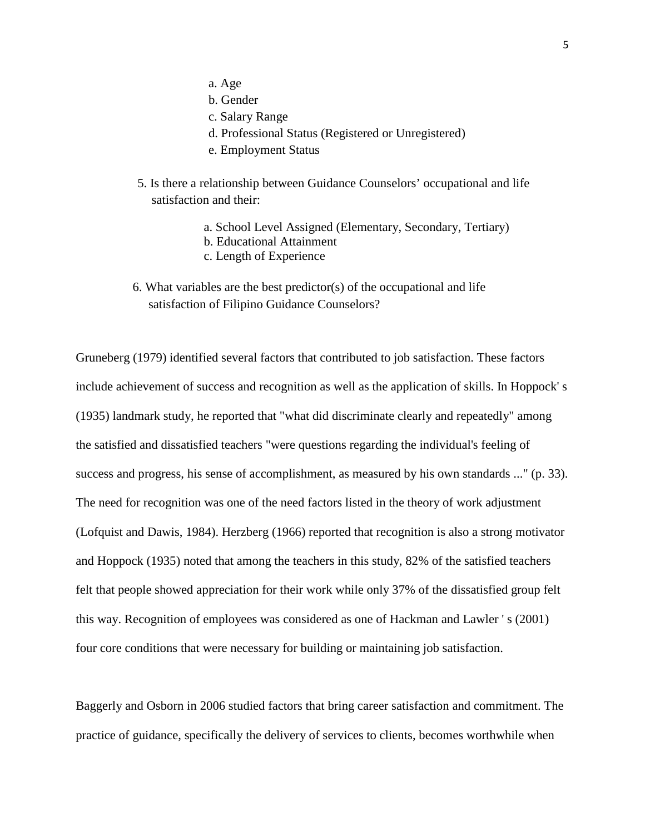- a. Age
- b. Gender
- c. Salary Range
- d. Professional Status (Registered or Unregistered)
- e. Employment Status
- 5. Is there a relationship between Guidance Counselors' occupational and life satisfaction and their:
	- a. School Level Assigned (Elementary, Secondary, Tertiary)
	- b. Educational Attainment
	- c. Length of Experience
- 6. What variables are the best predictor(s) of the occupational and life satisfaction of Filipino Guidance Counselors?

Gruneberg (1979) identified several factors that contributed to job satisfaction. These factors include achievement of success and recognition as well as the application of skills. In Hoppock' s (1935) landmark study, he reported that "what did discriminate clearly and repeatedly" among the satisfied and dissatisfied teachers "were questions regarding the individual's feeling of success and progress, his sense of accomplishment, as measured by his own standards ..." (p. 33). The need for recognition was one of the need factors listed in the theory of work adjustment (Lofquist and Dawis, 1984). Herzberg (1966) reported that recognition is also a strong motivator and Hoppock (1935) noted that among the teachers in this study, 82% of the satisfied teachers felt that people showed appreciation for their work while only 37% of the dissatisfied group felt this way. Recognition of employees was considered as one of Hackman and Lawler ' s (2001) four core conditions that were necessary for building or maintaining job satisfaction.

Baggerly and Osborn in 2006 studied factors that bring career satisfaction and commitment. The practice of guidance, specifically the delivery of services to clients, becomes worthwhile when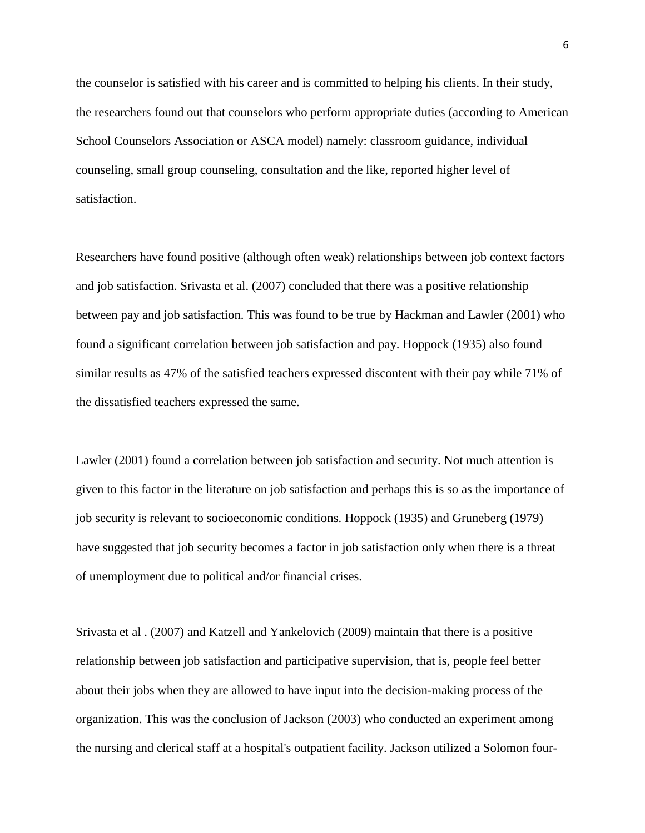the counselor is satisfied with his career and is committed to helping his clients. In their study, the researchers found out that counselors who perform appropriate duties (according to American School Counselors Association or ASCA model) namely: classroom guidance, individual counseling, small group counseling, consultation and the like, reported higher level of satisfaction.

Researchers have found positive (although often weak) relationships between job context factors and job satisfaction. Srivasta et al. (2007) concluded that there was a positive relationship between pay and job satisfaction. This was found to be true by Hackman and Lawler (2001) who found a significant correlation between job satisfaction and pay. Hoppock (1935) also found similar results as 47% of the satisfied teachers expressed discontent with their pay while 71% of the dissatisfied teachers expressed the same.

Lawler (2001) found a correlation between job satisfaction and security. Not much attention is given to this factor in the literature on job satisfaction and perhaps this is so as the importance of job security is relevant to socioeconomic conditions. Hoppock (1935) and Gruneberg (1979) have suggested that job security becomes a factor in job satisfaction only when there is a threat of unemployment due to political and/or financial crises.

Srivasta et al . (2007) and Katzell and Yankelovich (2009) maintain that there is a positive relationship between job satisfaction and participative supervision, that is, people feel better about their jobs when they are allowed to have input into the decision-making process of the organization. This was the conclusion of Jackson (2003) who conducted an experiment among the nursing and clerical staff at a hospital's outpatient facility. Jackson utilized a Solomon four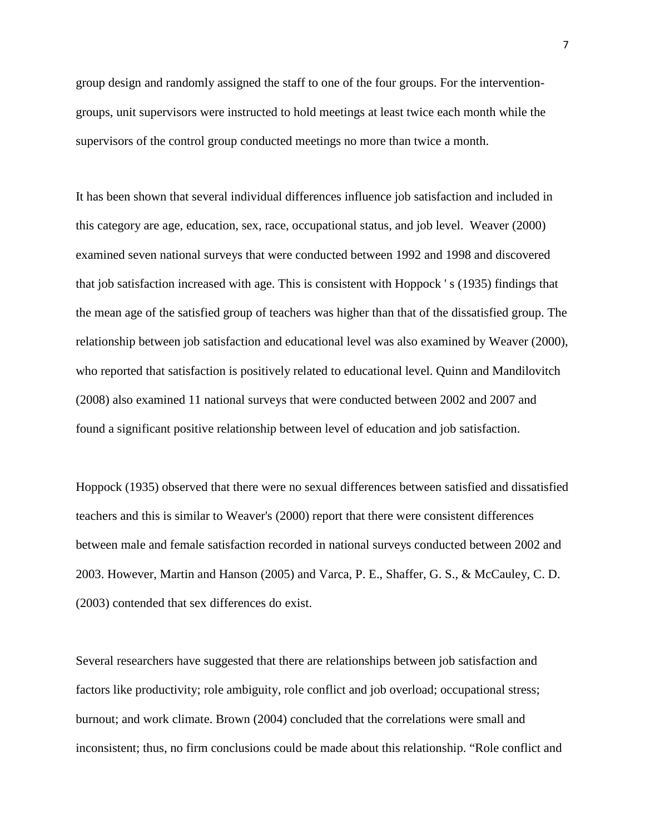group design and randomly assigned the staff to one of the four groups. For the interventiongroups, unit supervisors were instructed to hold meetings at least twice each month while the supervisors of the control group conducted meetings no more than twice a month.

It has been shown that several individual differences influence job satisfaction and included in this category are age, education, sex, race, occupational status, and job level. Weaver (2000) examined seven national surveys that were conducted between 1992 and 1998 and discovered that job satisfaction increased with age. This is consistent with Hoppock ' s (1935) findings that the mean age of the satisfied group of teachers was higher than that of the dissatisfied group. The relationship between job satisfaction and educational level was also examined by Weaver (2000), who reported that satisfaction is positively related to educational level. Quinn and Mandilovitch (2008) also examined 11 national surveys that were conducted between 2002 and 2007 and found a significant positive relationship between level of education and job satisfaction.

Hoppock (1935) observed that there were no sexual differences between satisfied and dissatisfied teachers and this is similar to Weaver's (2000) report that there were consistent differences between male and female satisfaction recorded in national surveys conducted between 2002 and 2003. However, Martin and Hanson (2005) and Varca, P. E., Shaffer, G. S., & McCauley, C. D. (2003) contended that sex differences do exist.

Several researchers have suggested that there are relationships between job satisfaction and factors like productivity; role ambiguity, role conflict and job overload; occupational stress; burnout; and work climate. Brown (2004) concluded that the correlations were small and inconsistent; thus, no firm conclusions could be made about this relationship. "Role conflict and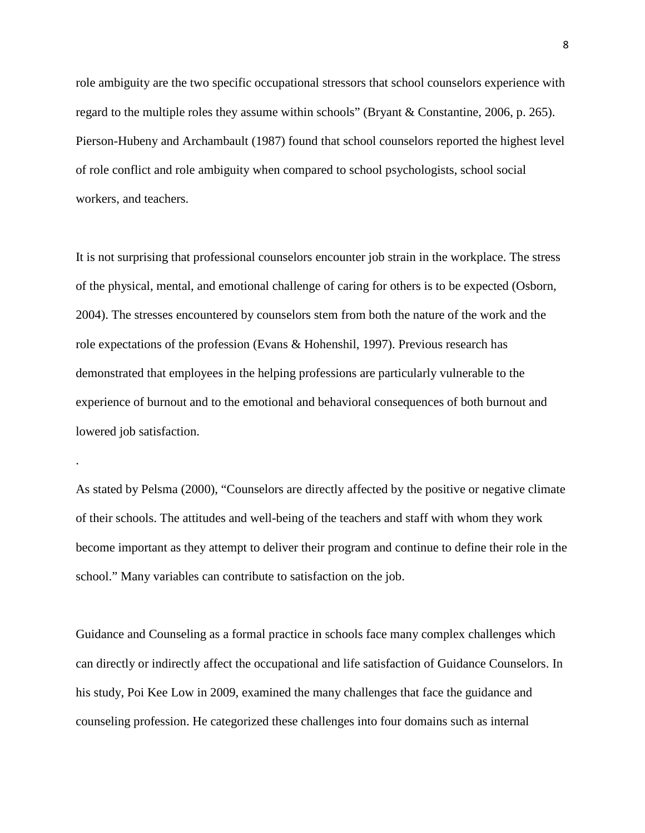role ambiguity are the two specific occupational stressors that school counselors experience with regard to the multiple roles they assume within schools" (Bryant & Constantine, 2006, p. 265). Pierson-Hubeny and Archambault (1987) found that school counselors reported the highest level of role conflict and role ambiguity when compared to school psychologists, school social workers, and teachers.

It is not surprising that professional counselors encounter job strain in the workplace. The stress of the physical, mental, and emotional challenge of caring for others is to be expected (Osborn, 2004). The stresses encountered by counselors stem from both the nature of the work and the role expectations of the profession (Evans & Hohenshil, 1997). Previous research has demonstrated that employees in the helping professions are particularly vulnerable to the experience of burnout and to the emotional and behavioral consequences of both burnout and lowered job satisfaction.

As stated by Pelsma (2000), "Counselors are directly affected by the positive or negative climate of their schools. The attitudes and well-being of the teachers and staff with whom they work become important as they attempt to deliver their program and continue to define their role in the school." Many variables can contribute to satisfaction on the job.

.

Guidance and Counseling as a formal practice in schools face many complex challenges which can directly or indirectly affect the occupational and life satisfaction of Guidance Counselors. In his study, Poi Kee Low in 2009, examined the many challenges that face the guidance and counseling profession. He categorized these challenges into four domains such as internal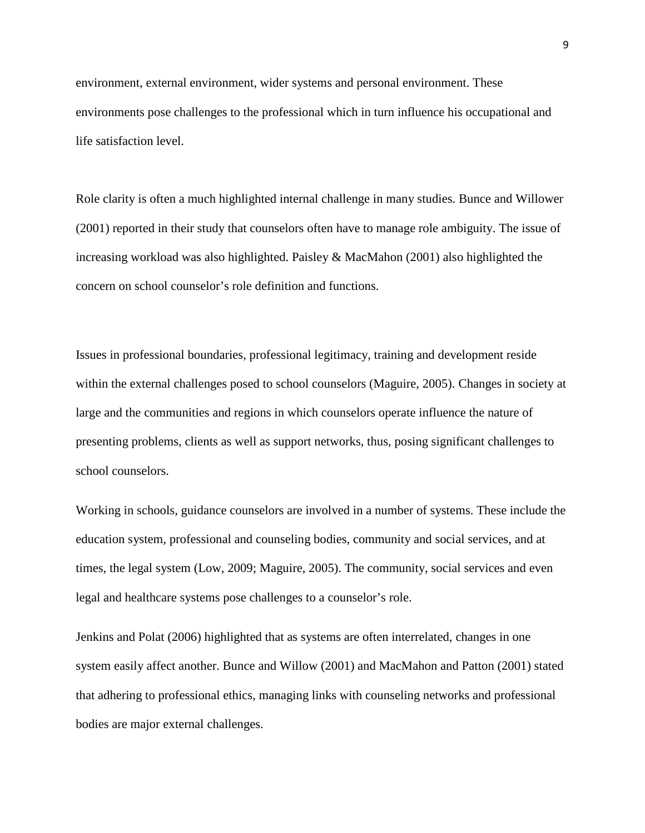environment, external environment, wider systems and personal environment. These environments pose challenges to the professional which in turn influence his occupational and life satisfaction level.

Role clarity is often a much highlighted internal challenge in many studies. Bunce and Willower (2001) reported in their study that counselors often have to manage role ambiguity. The issue of increasing workload was also highlighted. Paisley & MacMahon (2001) also highlighted the concern on school counselor's role definition and functions.

Issues in professional boundaries, professional legitimacy, training and development reside within the external challenges posed to school counselors (Maguire, 2005). Changes in society at large and the communities and regions in which counselors operate influence the nature of presenting problems, clients as well as support networks, thus, posing significant challenges to school counselors.

Working in schools, guidance counselors are involved in a number of systems. These include the education system, professional and counseling bodies, community and social services, and at times, the legal system (Low, 2009; Maguire, 2005). The community, social services and even legal and healthcare systems pose challenges to a counselor's role.

Jenkins and Polat (2006) highlighted that as systems are often interrelated, changes in one system easily affect another. Bunce and Willow (2001) and MacMahon and Patton (2001) stated that adhering to professional ethics, managing links with counseling networks and professional bodies are major external challenges.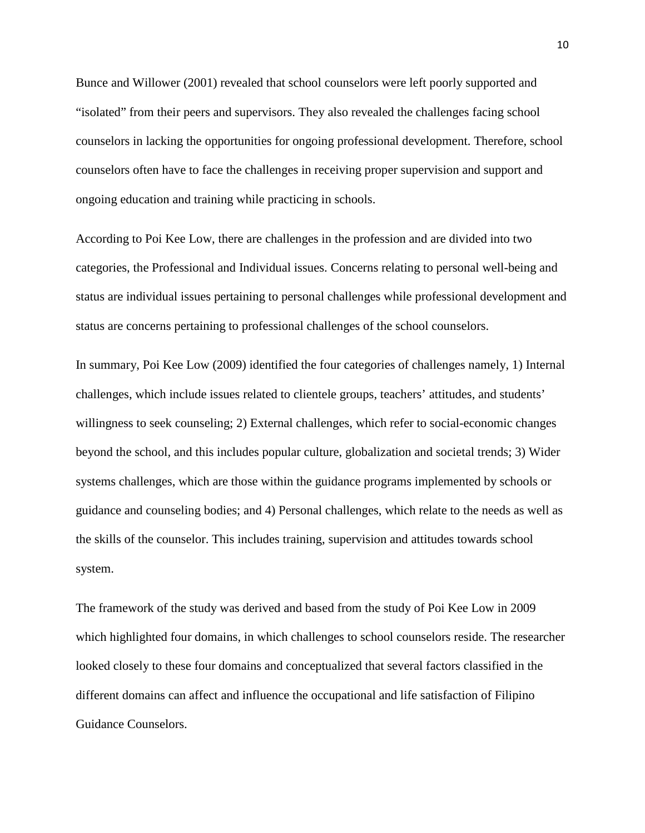Bunce and Willower (2001) revealed that school counselors were left poorly supported and "isolated" from their peers and supervisors. They also revealed the challenges facing school counselors in lacking the opportunities for ongoing professional development. Therefore, school counselors often have to face the challenges in receiving proper supervision and support and ongoing education and training while practicing in schools.

According to Poi Kee Low, there are challenges in the profession and are divided into two categories, the Professional and Individual issues. Concerns relating to personal well-being and status are individual issues pertaining to personal challenges while professional development and status are concerns pertaining to professional challenges of the school counselors.

In summary, Poi Kee Low (2009) identified the four categories of challenges namely, 1) Internal challenges, which include issues related to clientele groups, teachers' attitudes, and students' willingness to seek counseling; 2) External challenges, which refer to social-economic changes beyond the school, and this includes popular culture, globalization and societal trends; 3) Wider systems challenges, which are those within the guidance programs implemented by schools or guidance and counseling bodies; and 4) Personal challenges, which relate to the needs as well as the skills of the counselor. This includes training, supervision and attitudes towards school system.

The framework of the study was derived and based from the study of Poi Kee Low in 2009 which highlighted four domains, in which challenges to school counselors reside. The researcher looked closely to these four domains and conceptualized that several factors classified in the different domains can affect and influence the occupational and life satisfaction of Filipino Guidance Counselors.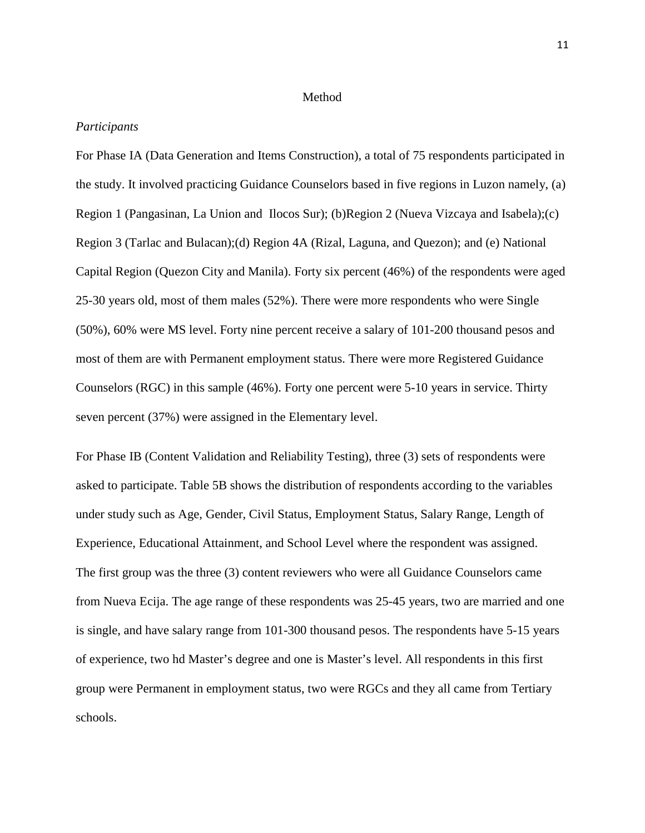### Method

# *Participants*

For Phase IA (Data Generation and Items Construction), a total of 75 respondents participated in the study. It involved practicing Guidance Counselors based in five regions in Luzon namely, (a) Region 1 (Pangasinan, La Union and Ilocos Sur); (b)Region 2 (Nueva Vizcaya and Isabela);(c) Region 3 (Tarlac and Bulacan);(d) Region 4A (Rizal, Laguna, and Quezon); and (e) National Capital Region (Quezon City and Manila). Forty six percent (46%) of the respondents were aged 25-30 years old, most of them males (52%). There were more respondents who were Single (50%), 60% were MS level. Forty nine percent receive a salary of 101-200 thousand pesos and most of them are with Permanent employment status. There were more Registered Guidance Counselors (RGC) in this sample (46%). Forty one percent were 5-10 years in service. Thirty seven percent (37%) were assigned in the Elementary level.

For Phase IB (Content Validation and Reliability Testing), three (3) sets of respondents were asked to participate. Table 5B shows the distribution of respondents according to the variables under study such as Age, Gender, Civil Status, Employment Status, Salary Range, Length of Experience, Educational Attainment, and School Level where the respondent was assigned. The first group was the three (3) content reviewers who were all Guidance Counselors came from Nueva Ecija. The age range of these respondents was 25-45 years, two are married and one is single, and have salary range from 101-300 thousand pesos. The respondents have 5-15 years of experience, two hd Master's degree and one is Master's level. All respondents in this first group were Permanent in employment status, two were RGCs and they all came from Tertiary schools.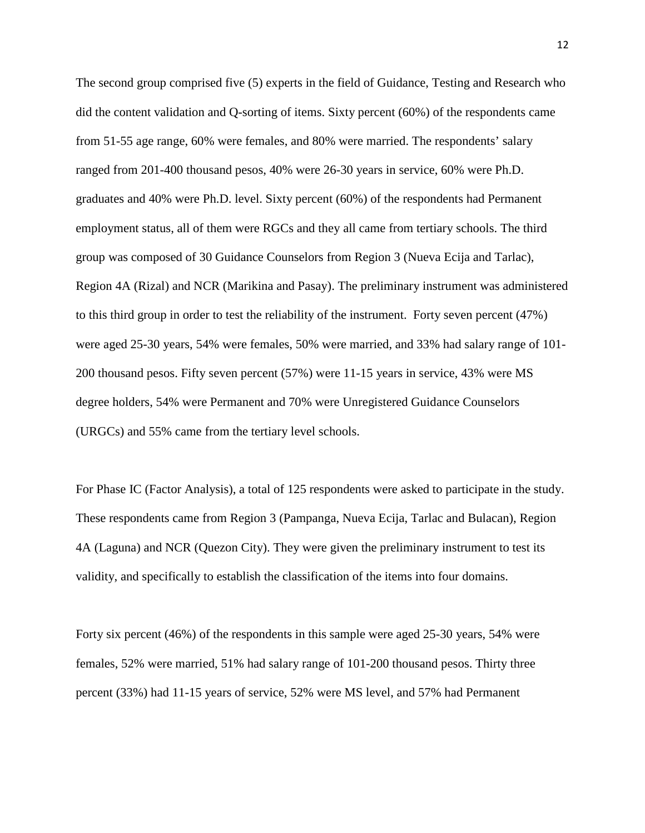The second group comprised five (5) experts in the field of Guidance, Testing and Research who did the content validation and Q-sorting of items. Sixty percent (60%) of the respondents came from 51-55 age range, 60% were females, and 80% were married. The respondents' salary ranged from 201-400 thousand pesos, 40% were 26-30 years in service, 60% were Ph.D. graduates and 40% were Ph.D. level. Sixty percent (60%) of the respondents had Permanent employment status, all of them were RGCs and they all came from tertiary schools. The third group was composed of 30 Guidance Counselors from Region 3 (Nueva Ecija and Tarlac), Region 4A (Rizal) and NCR (Marikina and Pasay). The preliminary instrument was administered to this third group in order to test the reliability of the instrument. Forty seven percent (47%) were aged 25-30 years, 54% were females, 50% were married, and 33% had salary range of 101- 200 thousand pesos. Fifty seven percent (57%) were 11-15 years in service, 43% were MS degree holders, 54% were Permanent and 70% were Unregistered Guidance Counselors (URGCs) and 55% came from the tertiary level schools.

For Phase IC (Factor Analysis), a total of 125 respondents were asked to participate in the study. These respondents came from Region 3 (Pampanga, Nueva Ecija, Tarlac and Bulacan), Region 4A (Laguna) and NCR (Quezon City). They were given the preliminary instrument to test its validity, and specifically to establish the classification of the items into four domains.

Forty six percent (46%) of the respondents in this sample were aged 25-30 years, 54% were females, 52% were married, 51% had salary range of 101-200 thousand pesos. Thirty three percent (33%) had 11-15 years of service, 52% were MS level, and 57% had Permanent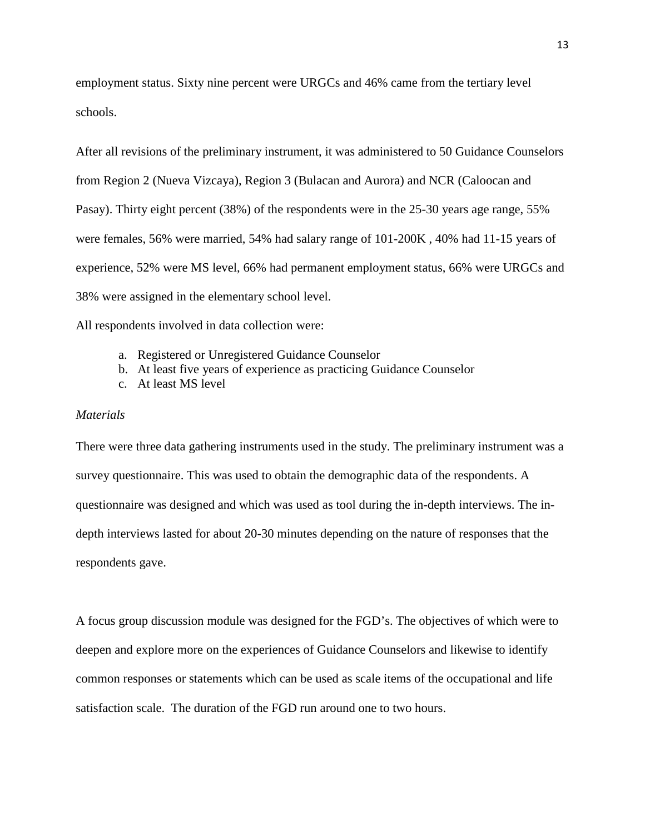employment status. Sixty nine percent were URGCs and 46% came from the tertiary level schools.

After all revisions of the preliminary instrument, it was administered to 50 Guidance Counselors from Region 2 (Nueva Vizcaya), Region 3 (Bulacan and Aurora) and NCR (Caloocan and Pasay). Thirty eight percent (38%) of the respondents were in the 25-30 years age range, 55% were females, 56% were married, 54% had salary range of 101-200K , 40% had 11-15 years of experience, 52% were MS level, 66% had permanent employment status, 66% were URGCs and 38% were assigned in the elementary school level.

All respondents involved in data collection were:

- a. Registered or Unregistered Guidance Counselor
- b. At least five years of experience as practicing Guidance Counselor
- c. At least MS level

## *Materials*

There were three data gathering instruments used in the study. The preliminary instrument was a survey questionnaire. This was used to obtain the demographic data of the respondents. A questionnaire was designed and which was used as tool during the in-depth interviews. The indepth interviews lasted for about 20-30 minutes depending on the nature of responses that the respondents gave.

A focus group discussion module was designed for the FGD's. The objectives of which were to deepen and explore more on the experiences of Guidance Counselors and likewise to identify common responses or statements which can be used as scale items of the occupational and life satisfaction scale. The duration of the FGD run around one to two hours.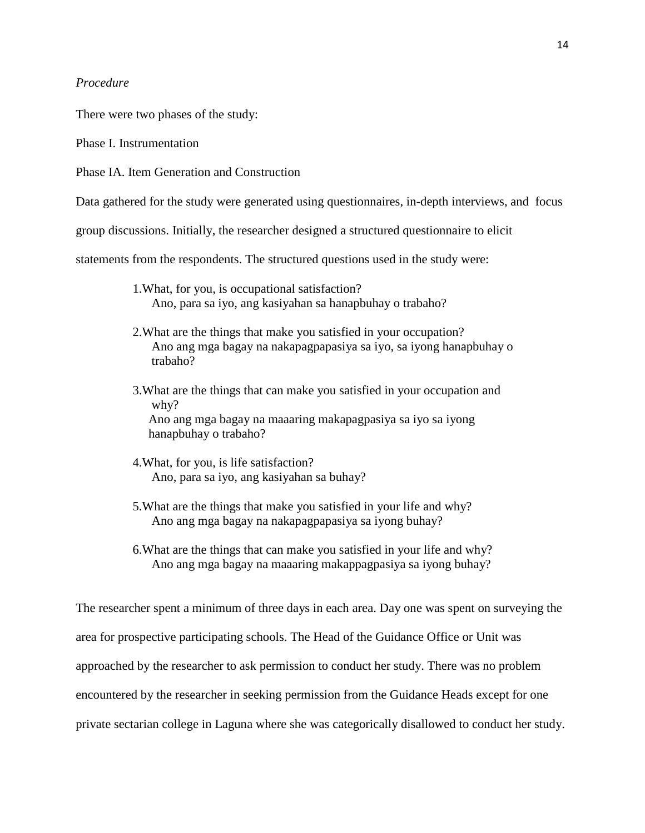# *Procedure*

There were two phases of the study:

Phase I. Instrumentation

Phase IA. Item Generation and Construction

Data gathered for the study were generated using questionnaires, in-depth interviews, and focus

group discussions. Initially, the researcher designed a structured questionnaire to elicit

statements from the respondents. The structured questions used in the study were:

- 1.What, for you, is occupational satisfaction? Ano, para sa iyo, ang kasiyahan sa hanapbuhay o trabaho?
- 2.What are the things that make you satisfied in your occupation? Ano ang mga bagay na nakapagpapasiya sa iyo, sa iyong hanapbuhay o trabaho?
- 3.What are the things that can make you satisfied in your occupation and why? Ano ang mga bagay na maaaring makapagpasiya sa iyo sa iyong hanapbuhay o trabaho?
- 4.What, for you, is life satisfaction? Ano, para sa iyo, ang kasiyahan sa buhay?
- 5.What are the things that make you satisfied in your life and why? Ano ang mga bagay na nakapagpapasiya sa iyong buhay?
- 6.What are the things that can make you satisfied in your life and why? Ano ang mga bagay na maaaring makappagpasiya sa iyong buhay?

The researcher spent a minimum of three days in each area. Day one was spent on surveying the area for prospective participating schools. The Head of the Guidance Office or Unit was approached by the researcher to ask permission to conduct her study. There was no problem encountered by the researcher in seeking permission from the Guidance Heads except for one private sectarian college in Laguna where she was categorically disallowed to conduct her study.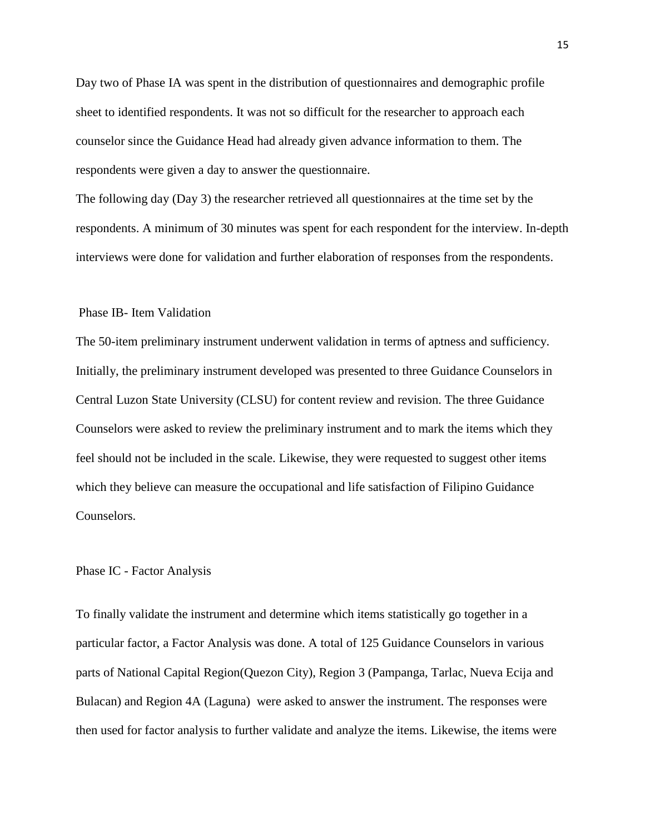Day two of Phase IA was spent in the distribution of questionnaires and demographic profile sheet to identified respondents. It was not so difficult for the researcher to approach each counselor since the Guidance Head had already given advance information to them. The respondents were given a day to answer the questionnaire.

The following day (Day 3) the researcher retrieved all questionnaires at the time set by the respondents. A minimum of 30 minutes was spent for each respondent for the interview. In-depth interviews were done for validation and further elaboration of responses from the respondents.

# Phase IB- Item Validation

The 50-item preliminary instrument underwent validation in terms of aptness and sufficiency. Initially, the preliminary instrument developed was presented to three Guidance Counselors in Central Luzon State University (CLSU) for content review and revision. The three Guidance Counselors were asked to review the preliminary instrument and to mark the items which they feel should not be included in the scale. Likewise, they were requested to suggest other items which they believe can measure the occupational and life satisfaction of Filipino Guidance Counselors.

#### Phase IC - Factor Analysis

To finally validate the instrument and determine which items statistically go together in a particular factor, a Factor Analysis was done. A total of 125 Guidance Counselors in various parts of National Capital Region(Quezon City), Region 3 (Pampanga, Tarlac, Nueva Ecija and Bulacan) and Region 4A (Laguna) were asked to answer the instrument. The responses were then used for factor analysis to further validate and analyze the items. Likewise, the items were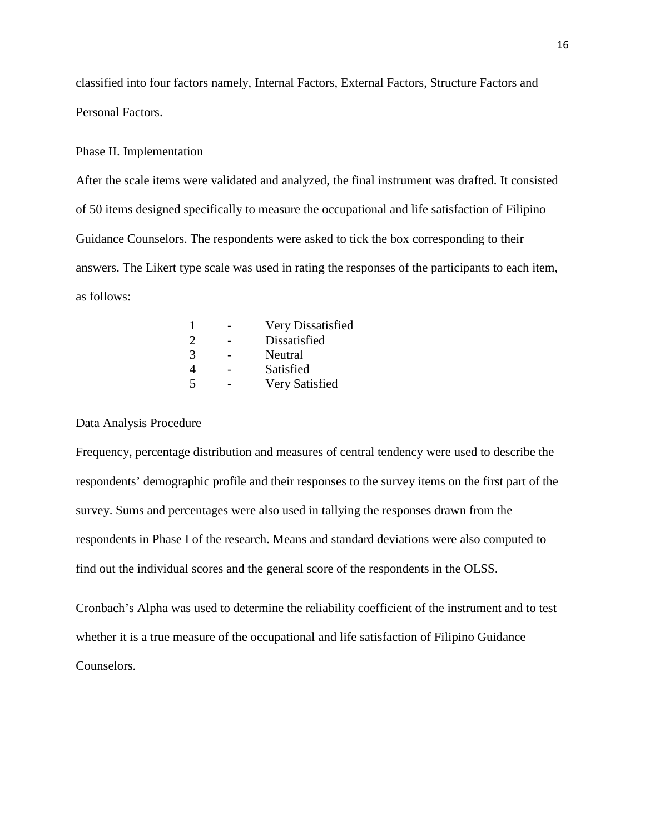classified into four factors namely, Internal Factors, External Factors, Structure Factors and Personal Factors.

### Phase II. Implementation

After the scale items were validated and analyzed, the final instrument was drafted. It consisted of 50 items designed specifically to measure the occupational and life satisfaction of Filipino Guidance Counselors. The respondents were asked to tick the box corresponding to their answers. The Likert type scale was used in rating the responses of the participants to each item, as follows:

|                             | Very Dissatisfied |
|-----------------------------|-------------------|
| $\mathcal{D}_{\mathcal{L}}$ | Dissatisfied      |
| 3                           | Neutral           |
| $\boldsymbol{\varDelta}$    | Satisfied         |
| $\overline{5}$              | Very Satisfied    |
|                             |                   |

# Data Analysis Procedure

Frequency, percentage distribution and measures of central tendency were used to describe the respondents' demographic profile and their responses to the survey items on the first part of the survey. Sums and percentages were also used in tallying the responses drawn from the respondents in Phase I of the research. Means and standard deviations were also computed to find out the individual scores and the general score of the respondents in the OLSS.

Cronbach's Alpha was used to determine the reliability coefficient of the instrument and to test whether it is a true measure of the occupational and life satisfaction of Filipino Guidance Counselors.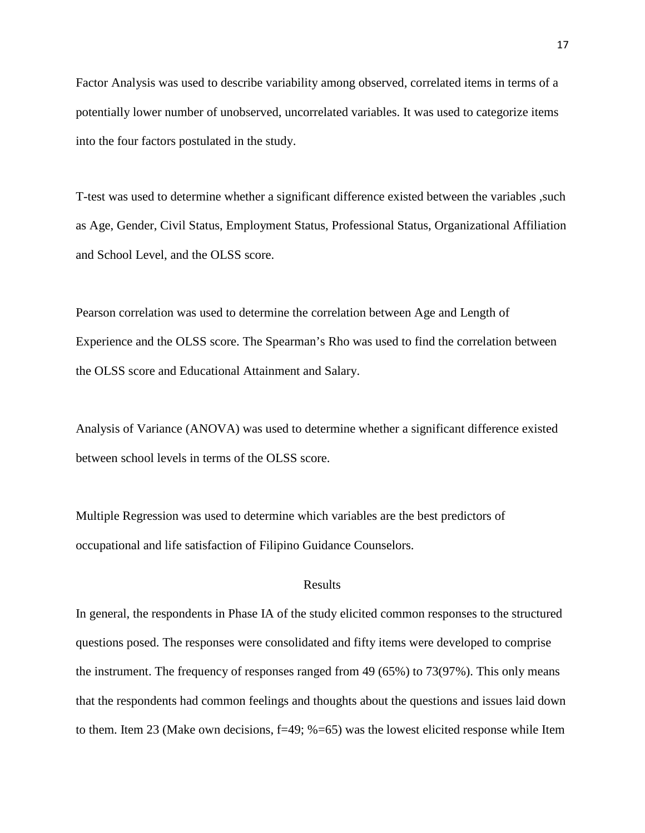Factor Analysis was used to describe [variability](http://en.wikipedia.org/wiki/Variance) among observed, correlated [items](http://en.wikipedia.org/wiki/Variable_%28mathematics%29) in terms of a potentially lower number of unobserved, uncorrelated variables. It was used to categorize items into the four factors postulated in the study.

T-test was used to determine whether a significant difference existed between the variables ,such as Age, Gender, Civil Status, Employment Status, Professional Status, Organizational Affiliation and School Level, and the OLSS score.

Pearson correlation was used to determine the correlation between Age and Length of Experience and the OLSS score. The Spearman's Rho was used to find the correlation between the OLSS score and Educational Attainment and Salary.

Analysis of Variance (ANOVA) was used to determine whether a significant difference existed between school levels in terms of the OLSS score.

Multiple Regression was used to determine which variables are the best predictors of occupational and life satisfaction of Filipino Guidance Counselors.

# Results

In general, the respondents in Phase IA of the study elicited common responses to the structured questions posed. The responses were consolidated and fifty items were developed to comprise the instrument. The frequency of responses ranged from 49 (65%) to 73(97%). This only means that the respondents had common feelings and thoughts about the questions and issues laid down to them. Item 23 (Make own decisions, f=49; %=65) was the lowest elicited response while Item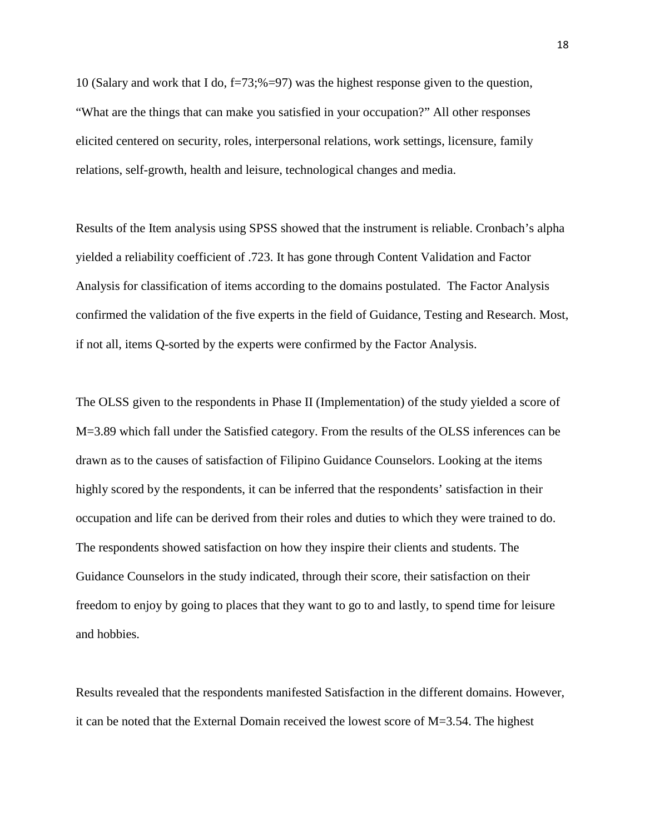10 (Salary and work that I do,  $f=73$ ;% $=97$ ) was the highest response given to the question, "What are the things that can make you satisfied in your occupation?" All other responses elicited centered on security, roles, interpersonal relations, work settings, licensure, family relations, self-growth, health and leisure, technological changes and media.

Results of the Item analysis using SPSS showed that the instrument is reliable. Cronbach's alpha yielded a reliability coefficient of .723. It has gone through Content Validation and Factor Analysis for classification of items according to the domains postulated. The Factor Analysis confirmed the validation of the five experts in the field of Guidance, Testing and Research. Most, if not all, items Q-sorted by the experts were confirmed by the Factor Analysis.

The OLSS given to the respondents in Phase II (Implementation) of the study yielded a score of M=3.89 which fall under the Satisfied category. From the results of the OLSS inferences can be drawn as to the causes of satisfaction of Filipino Guidance Counselors. Looking at the items highly scored by the respondents, it can be inferred that the respondents' satisfaction in their occupation and life can be derived from their roles and duties to which they were trained to do. The respondents showed satisfaction on how they inspire their clients and students. The Guidance Counselors in the study indicated, through their score, their satisfaction on their freedom to enjoy by going to places that they want to go to and lastly, to spend time for leisure and hobbies.

Results revealed that the respondents manifested Satisfaction in the different domains. However, it can be noted that the External Domain received the lowest score of M=3.54. The highest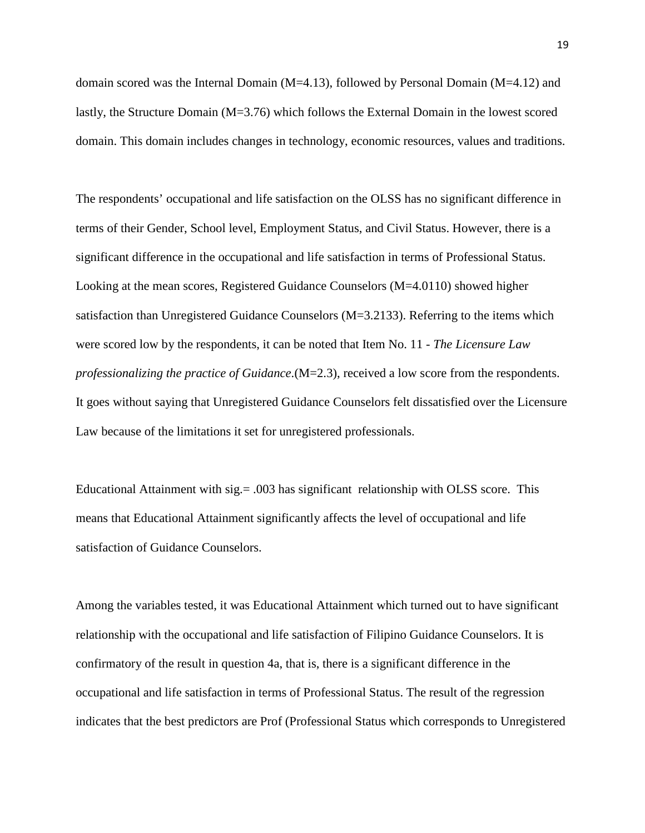domain scored was the Internal Domain (M=4.13), followed by Personal Domain (M=4.12) and lastly, the Structure Domain (M=3.76) which follows the External Domain in the lowest scored domain. This domain includes changes in technology, economic resources, values and traditions.

The respondents' occupational and life satisfaction on the OLSS has no significant difference in terms of their Gender, School level, Employment Status, and Civil Status. However, there is a significant difference in the occupational and life satisfaction in terms of Professional Status. Looking at the mean scores, Registered Guidance Counselors (M=4.0110) showed higher satisfaction than Unregistered Guidance Counselors (M=3.2133). Referring to the items which were scored low by the respondents, it can be noted that Item No. 11 - *The Licensure Law professionalizing the practice of Guidance*.(M=2.3), received a low score from the respondents. It goes without saying that Unregistered Guidance Counselors felt dissatisfied over the Licensure Law because of the limitations it set for unregistered professionals.

Educational Attainment with sig.= .003 has significant relationship with OLSS score. This means that Educational Attainment significantly affects the level of occupational and life satisfaction of Guidance Counselors.

Among the variables tested, it was Educational Attainment which turned out to have significant relationship with the occupational and life satisfaction of Filipino Guidance Counselors. It is confirmatory of the result in question 4a, that is, there is a significant difference in the occupational and life satisfaction in terms of Professional Status. The result of the regression indicates that the best predictors are Prof (Professional Status which corresponds to Unregistered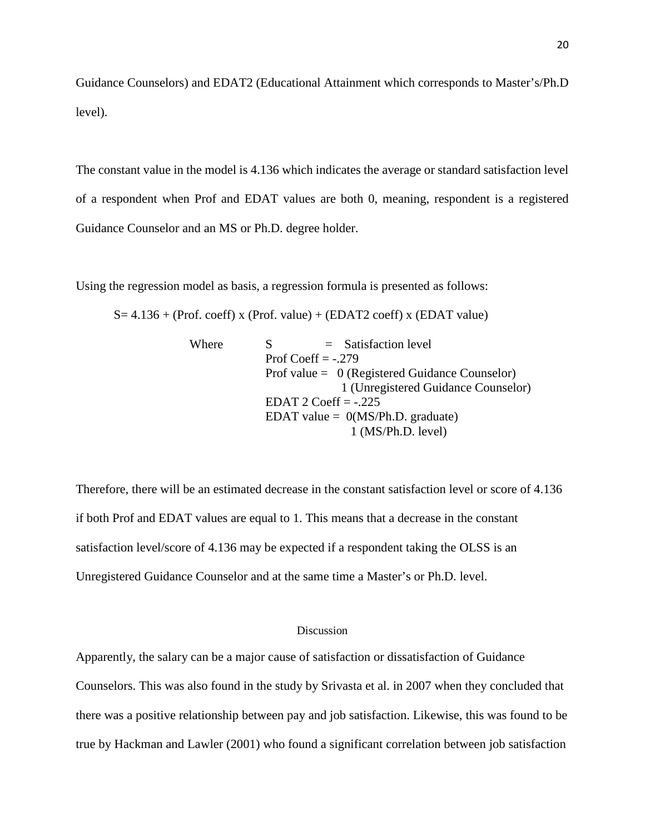Guidance Counselors) and EDAT2 (Educational Attainment which corresponds to Master's/Ph.D level).

The constant value in the model is 4.136 which indicates the average or standard satisfaction level of a respondent when Prof and EDAT values are both 0, meaning, respondent is a registered Guidance Counselor and an MS or Ph.D. degree holder.

Using the regression model as basis, a regression formula is presented as follows:

 $S= 4.136 + (Prot. coeff) x (Prof. value) + (EDAT2 coeff) x (EDAT value)$ 

| Where | $=$ Satisfaction level                           |  |
|-------|--------------------------------------------------|--|
|       | Prof Coeff $= -0.279$                            |  |
|       | Prof value = $0$ (Registered Guidance Counselor) |  |
|       | 1 (Unregistered Guidance Counselor)              |  |
|       | EDAT 2 Coeff $= -0.225$                          |  |
|       | EDAT value = $0(MS/Ph.D.$ graduate)              |  |
|       | $1$ (MS/Ph.D. level)                             |  |

Therefore, there will be an estimated decrease in the constant satisfaction level or score of 4.136 if both Prof and EDAT values are equal to 1. This means that a decrease in the constant satisfaction level/score of 4.136 may be expected if a respondent taking the OLSS is an Unregistered Guidance Counselor and at the same time a Master's or Ph.D. level.

# Discussion

Apparently, the salary can be a major cause of satisfaction or dissatisfaction of Guidance Counselors. This was also found in the study by Srivasta et al. in 2007 when they concluded that there was a positive relationship between pay and job satisfaction. Likewise, this was found to be true by Hackman and Lawler (2001) who found a significant correlation between job satisfaction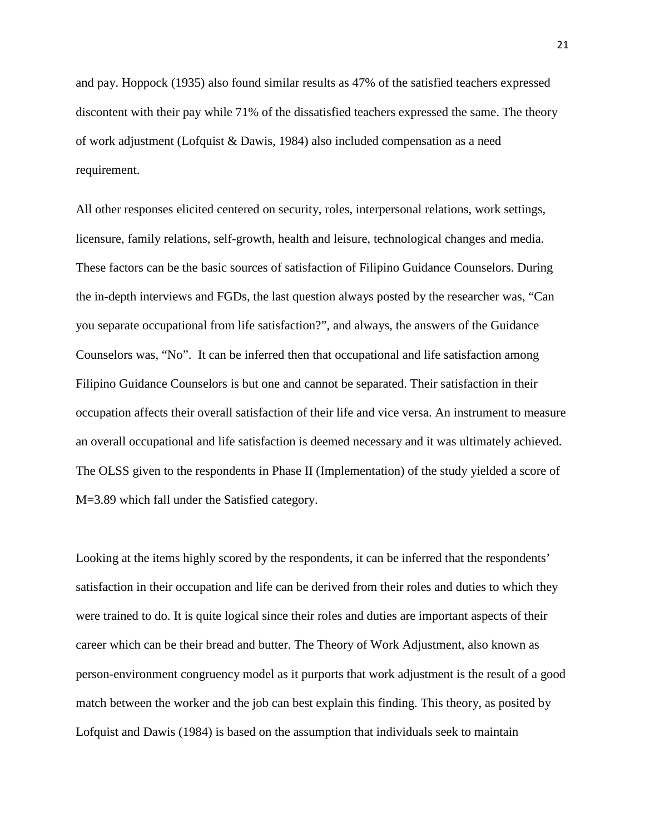and pay. Hoppock (1935) also found similar results as 47% of the satisfied teachers expressed discontent with their pay while 71% of the dissatisfied teachers expressed the same. The theory of work adjustment (Lofquist & Dawis, 1984) also included compensation as a need requirement.

All other responses elicited centered on security, roles, interpersonal relations, work settings, licensure, family relations, self-growth, health and leisure, technological changes and media. These factors can be the basic sources of satisfaction of Filipino Guidance Counselors. During the in-depth interviews and FGDs, the last question always posted by the researcher was, "Can you separate occupational from life satisfaction?", and always, the answers of the Guidance Counselors was, "No". It can be inferred then that occupational and life satisfaction among Filipino Guidance Counselors is but one and cannot be separated. Their satisfaction in their occupation affects their overall satisfaction of their life and vice versa. An instrument to measure an overall occupational and life satisfaction is deemed necessary and it was ultimately achieved. The OLSS given to the respondents in Phase II (Implementation) of the study yielded a score of M=3.89 which fall under the Satisfied category.

Looking at the items highly scored by the respondents, it can be inferred that the respondents' satisfaction in their occupation and life can be derived from their roles and duties to which they were trained to do. It is quite logical since their roles and duties are important aspects of their career which can be their bread and butter. The Theory of Work Adjustment, also known as person-environment congruency model as it purports that work adjustment is the result of a good match between the worker and the job can best explain this finding. This theory, as posited by Lofquist and Dawis (1984) is based on the assumption that individuals seek to maintain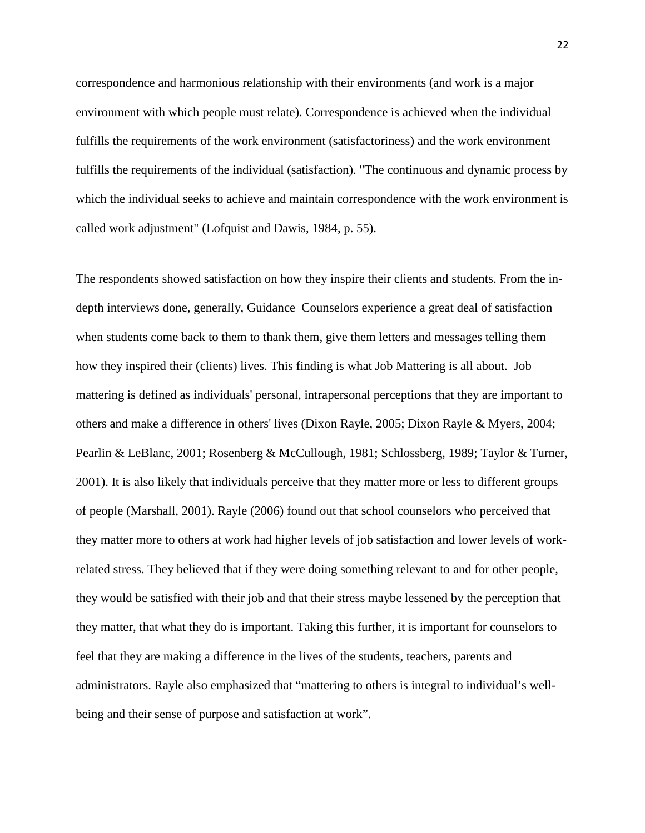correspondence and harmonious relationship with their environments (and work is a major environment with which people must relate). Correspondence is achieved when the individual fulfills the requirements of the work environment (satisfactoriness) and the work environment fulfills the requirements of the individual (satisfaction). "The continuous and dynamic process by which the individual seeks to achieve and maintain correspondence with the work environment is called work adjustment" (Lofquist and Dawis, 1984, p. 55).

The respondents showed satisfaction on how they inspire their clients and students. From the indepth interviews done, generally, Guidance Counselors experience a great deal of satisfaction when students come back to them to thank them, give them letters and messages telling them how they inspired their (clients) lives. This finding is what Job Mattering is all about. Job mattering is defined as individuals' personal, [intrapersonal](http://www.thefreedictionary.com/intrapersonal) perceptions that they are important to others and make a difference in others' lives [\(Dixon](http://encyclopedia2.thefreedictionary.com/Dixon) Rayle, 2005; Dixon Rayle & Myers, 2004; Pearlin & [LeBlanc,](http://encyclopedia.thefreedictionary.com/Leblanc) 2001; [Rosenberg](http://encyclopedia2.thefreedictionary.com/Rosenberg) & [McCullough,](http://www.thefreedictionary.com/McCullough) 1981; [Schlossberg,](http://encyclopedia.thefreedictionary.com/Schlossberg) 1989; [Taylor](http://encyclopedia2.thefreedictionary.com/Taylor) & Turner, 2001). It is also likely that individuals perceive that they matter more or less to different groups of people [\(Marshall,](http://encyclopedia2.thefreedictionary.com/Marshall) 2001). Rayle (2006) found out that school counselors who perceived that they matter more to others at work had higher levels of job satisfaction and lower levels of workrelated stress. They believed that if they were doing something relevant to and for other people, they would be satisfied with their job and that their stress maybe lessened by the perception that they matter, that what they do is important. Taking this further, it is important for counselors to feel that they are making a difference in the lives of the students, teachers, parents and administrators. Rayle also emphasized that "mattering to others is integral to individual's wellbeing and their sense of purpose and satisfaction at work".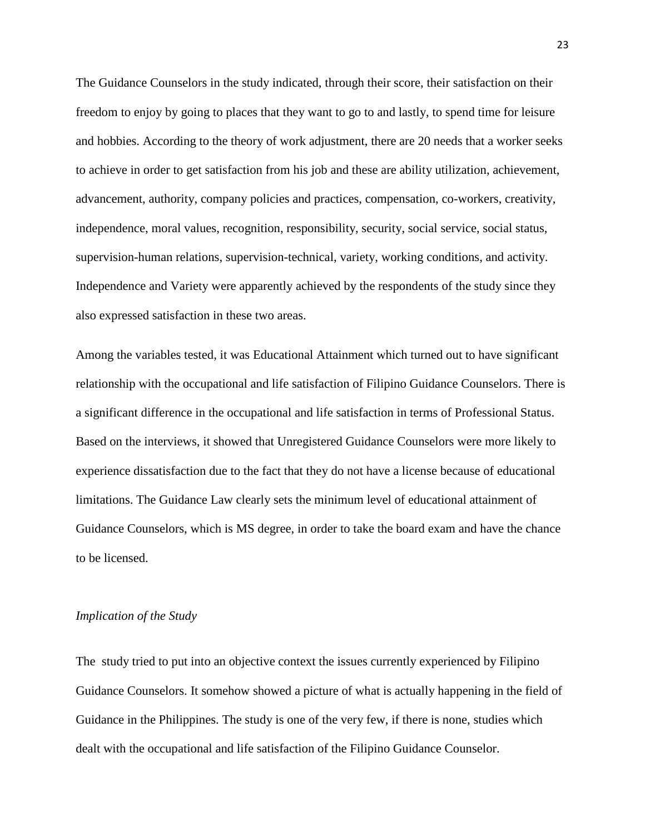The Guidance Counselors in the study indicated, through their score, their satisfaction on their freedom to enjoy by going to places that they want to go to and lastly, to spend time for leisure and hobbies. According to the theory of work adjustment, there are 20 needs that a worker seeks to achieve in order to get satisfaction from his job and these are ability utilization, achievement, advancement, authority, company policies and practices, compensation, co-workers, creativity, independence, moral values, recognition, responsibility, security, social service, social status, supervision-human relations, supervision-technical, variety, working conditions, and activity. Independence and Variety were apparently achieved by the respondents of the study since they also expressed satisfaction in these two areas.

Among the variables tested, it was Educational Attainment which turned out to have significant relationship with the occupational and life satisfaction of Filipino Guidance Counselors. There is a significant difference in the occupational and life satisfaction in terms of Professional Status. Based on the interviews, it showed that Unregistered Guidance Counselors were more likely to experience dissatisfaction due to the fact that they do not have a license because of educational limitations. The Guidance Law clearly sets the minimum level of educational attainment of Guidance Counselors, which is MS degree, in order to take the board exam and have the chance to be licensed.

### *Implication of the Study*

The study tried to put into an objective context the issues currently experienced by Filipino Guidance Counselors. It somehow showed a picture of what is actually happening in the field of Guidance in the Philippines. The study is one of the very few, if there is none, studies which dealt with the occupational and life satisfaction of the Filipino Guidance Counselor.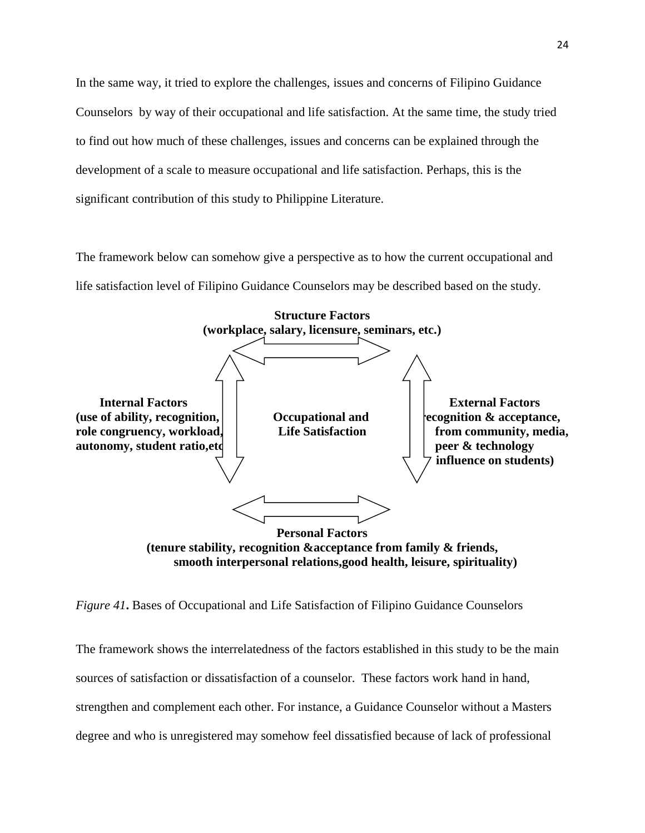In the same way, it tried to explore the challenges, issues and concerns of Filipino Guidance Counselors by way of their occupational and life satisfaction. At the same time, the study tried to find out how much of these challenges, issues and concerns can be explained through the development of a scale to measure occupational and life satisfaction. Perhaps, this is the significant contribution of this study to Philippine Literature.

The framework below can somehow give a perspective as to how the current occupational and life satisfaction level of Filipino Guidance Counselors may be described based on the study.



*Figure 41***.** Bases of Occupational and Life Satisfaction of Filipino Guidance Counselors

The framework shows the interrelatedness of the factors established in this study to be the main sources of satisfaction or dissatisfaction of a counselor. These factors work hand in hand, strengthen and complement each other. For instance, a Guidance Counselor without a Masters degree and who is unregistered may somehow feel dissatisfied because of lack of professional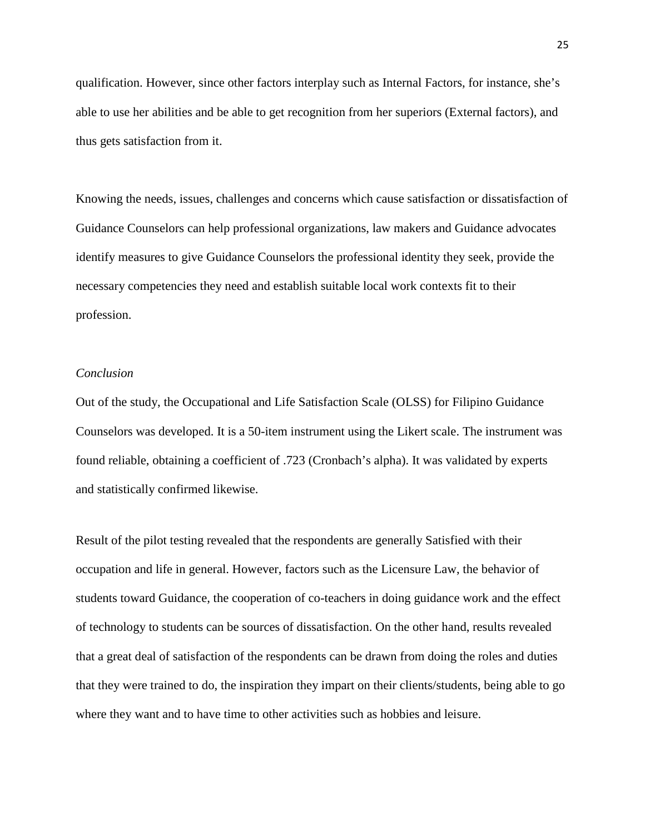qualification. However, since other factors interplay such as Internal Factors, for instance, she's able to use her abilities and be able to get recognition from her superiors (External factors), and thus gets satisfaction from it.

Knowing the needs, issues, challenges and concerns which cause satisfaction or dissatisfaction of Guidance Counselors can help professional organizations, law makers and Guidance advocates identify measures to give Guidance Counselors the professional identity they seek, provide the necessary competencies they need and establish suitable local work contexts fit to their profession.

# *Conclusion*

Out of the study, the Occupational and Life Satisfaction Scale (OLSS) for Filipino Guidance Counselors was developed. It is a 50-item instrument using the Likert scale. The instrument was found reliable, obtaining a coefficient of .723 (Cronbach's alpha). It was validated by experts and statistically confirmed likewise.

Result of the pilot testing revealed that the respondents are generally Satisfied with their occupation and life in general. However, factors such as the Licensure Law, the behavior of students toward Guidance, the cooperation of co-teachers in doing guidance work and the effect of technology to students can be sources of dissatisfaction. On the other hand, results revealed that a great deal of satisfaction of the respondents can be drawn from doing the roles and duties that they were trained to do, the inspiration they impart on their clients/students, being able to go where they want and to have time to other activities such as hobbies and leisure.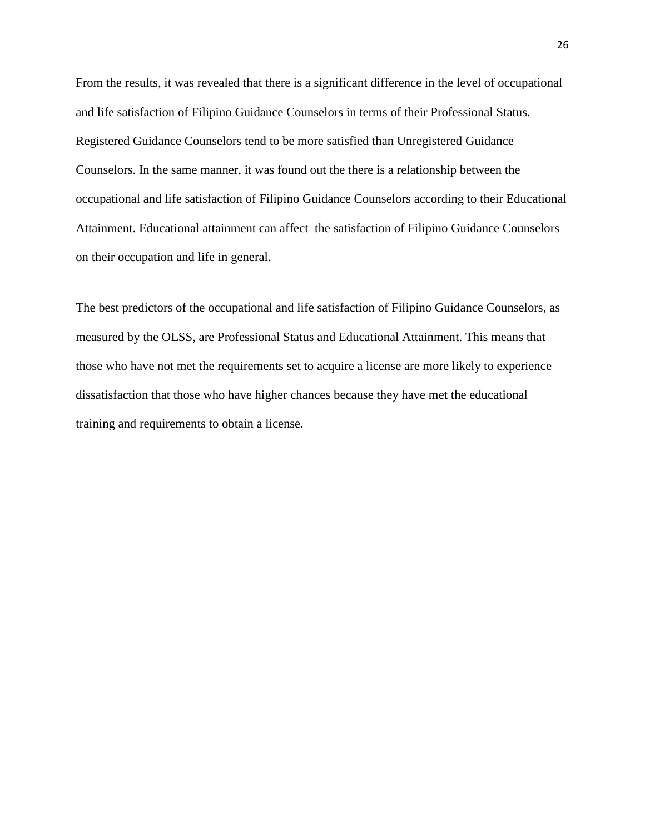From the results, it was revealed that there is a significant difference in the level of occupational and life satisfaction of Filipino Guidance Counselors in terms of their Professional Status. Registered Guidance Counselors tend to be more satisfied than Unregistered Guidance Counselors. In the same manner, it was found out the there is a relationship between the occupational and life satisfaction of Filipino Guidance Counselors according to their Educational Attainment. Educational attainment can affect the satisfaction of Filipino Guidance Counselors on their occupation and life in general.

The best predictors of the occupational and life satisfaction of Filipino Guidance Counselors, as measured by the OLSS, are Professional Status and Educational Attainment. This means that those who have not met the requirements set to acquire a license are more likely to experience dissatisfaction that those who have higher chances because they have met the educational training and requirements to obtain a license.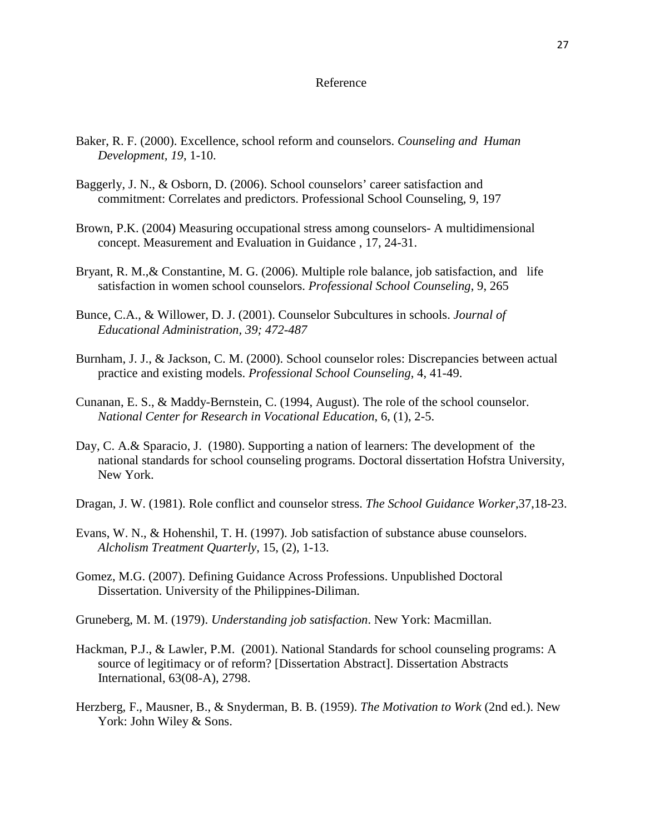### Reference

- Baker, R. F. (2000). Excellence, school reform and counselors. *Counseling and Human Development, 19*, 1-10.
- Baggerly, J. N., & Osborn, D. (2006). School counselors' career satisfaction and commitment: Correlates and predictors. Professional School Counseling, 9, 197
- Brown, P.K. (2004) Measuring occupational stress among counselors- A multidimensional concept. Measurement and Evaluation in Guidance , 17, 24-31.
- Bryant, R. M.,& Constantine, M. G. (2006). Multiple role balance, job satisfaction, and life satisfaction in women school counselors. *Professional School Counseling*, 9, 265
- Bunce, C.A., & Willower, D. J. (2001). Counselor Subcultures in schools. *Journal of Educational Administration, 39; 472-487*
- Burnham, J. J., & Jackson, C. M. (2000). School counselor roles: Discrepancies between actual practice and existing models. *Professional School Counseling*, 4, 41-49.
- Cunanan, E. S., & Maddy-Bernstein, C. (1994, August). The role of the school counselor.  *National Center for Research in Vocational Education*, 6, (1), 2-5.
- Day, C. A.& Sparacio, J. (1980). Supporting a nation of learners: The development of the national standards for school counseling programs. Doctoral dissertation Hofstra University, New York.
- Dragan, J. W. (1981). Role conflict and counselor stress. *The School Guidance Worker*,37,18-23.
- Evans, W. N., & Hohenshil, T. H. (1997). Job satisfaction of substance abuse counselors. *Alcholism Treatment Quarterly*, 15, (2), 1-13.
- Gomez, M.G. (2007). Defining Guidance Across Professions. Unpublished Doctoral Dissertation. University of the Philippines-Diliman.
- Gruneberg, M. M. (1979). *Understanding job satisfaction*. New York: Macmillan.
- Hackman, P.J., & Lawler, P.M. (2001). National Standards for school counseling programs: A source of legitimacy or of reform? [Dissertation Abstract]. Dissertation Abstracts International, 63(08-A), 2798.
- Herzberg, F., Mausner, B., & Snyderman, B. B. (1959). *The Motivation to Work* (2nd ed.). New York: John Wiley & Sons.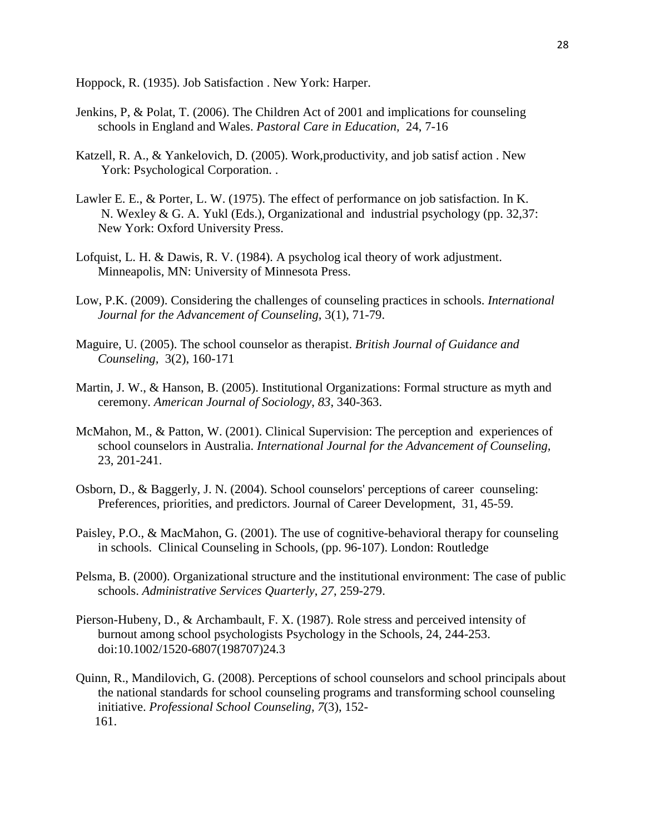Hoppock, R. (1935). Job Satisfaction . New York: Harper.

- Jenkins, P, & Polat, T. (2006). The Children Act of 2001 and implications for counseling schools in England and Wales. *Pastoral Care in Education,* 24, 7-16
- Katzell, R. A., & Yankelovich, D. (2005). Work,productivity, and job satisf action . New York: Psychological Corporation. .
- Lawler E. E., & Porter, L. W. (1975). The effect of performance on job satisfaction. In K. N. Wexley & G. A. Yukl (Eds.), Organizational and industrial psychology (pp. 32,37: New York: Oxford University Press.
- Lofquist, L. H. & Dawis, R. V. (1984). A psycholog ical theory of work adjustment. Minneapolis, MN: University of Minnesota Press.
- Low, P.K. (2009). Considering the challenges of counseling practices in schools. *International Journal for the Advancement of Counseling,* 3(1), 71-79.
- Maguire, U. (2005). The school counselor as therapist. *British Journal of Guidance and Counseling,* 3(2), 160-171
- Martin, J. W., & Hanson, B. (2005). Institutional Organizations: Formal structure as myth and ceremony. *American Journal of Sociology*, *83*, 340-363.
- McMahon, M., & Patton, W. (2001). Clinical Supervision: The perception and experiences of school counselors in Australia. *International Journal for the Advancement of Counseling,*  23, 201-241.
- Osborn, D., & Baggerly, J. N. (2004). School counselors' perceptions of career counseling: Preferences, priorities, and predictors. Journal of Career Development, 31, 45-59.
- Paisley, P.O., & MacMahon, G. (2001). The use of cognitive-behavioral therapy for counseling in schools. Clinical Counseling in Schools*,* (pp. 96-107). London: Routledge
- Pelsma, B. (2000). Organizational structure and the institutional environment: The case of public schools. *Administrative Services Quarterly*, *27*, 259-279.
- Pierson-Hubeny, D., & Archambault, F. X. (1987). Role stress and perceived intensity of burnout among school psychologists Psychology in the Schools, 24, 244-253. doi:10.1002/1520-6807(198707)24.3
- Quinn, R., Mandilovich, G. (2008). Perceptions of school counselors and school principals about the national standards for school counseling programs and transforming school counseling initiative. *Professional School Counseling, 7*(3), 152- 161.